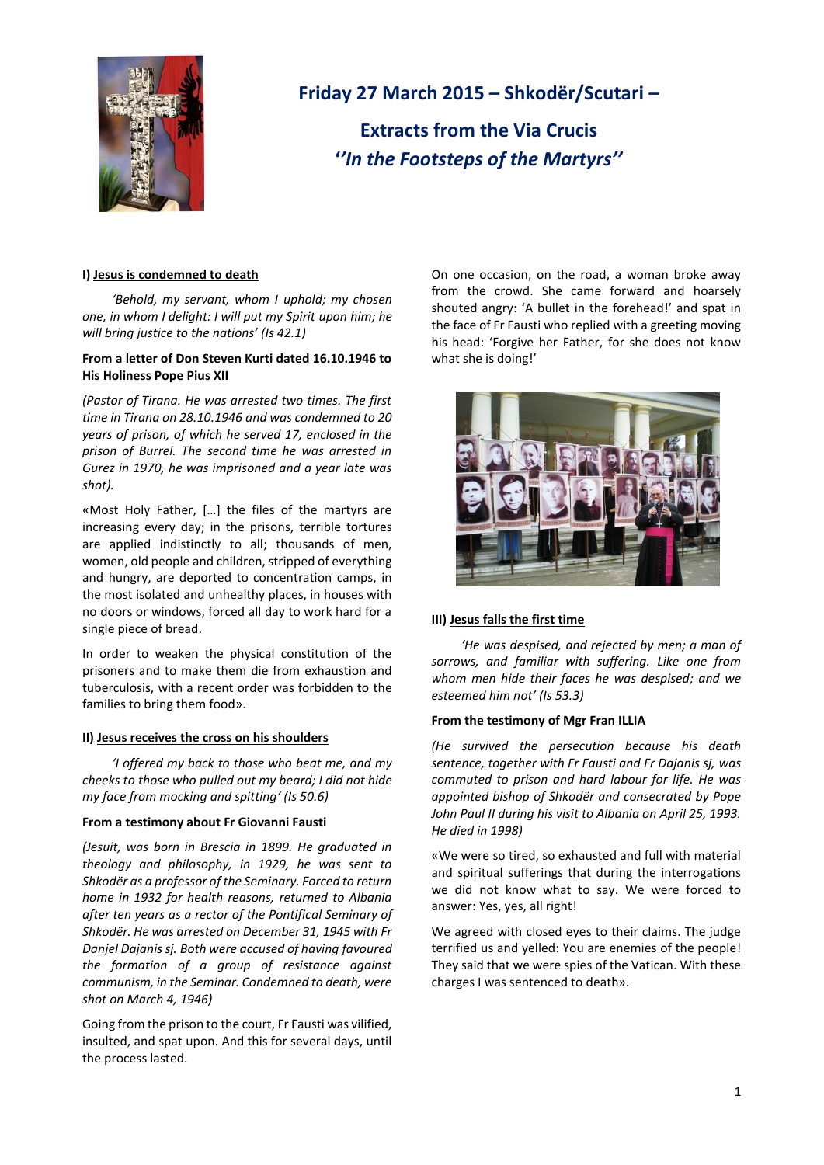

# **Friday 27 March 2015 – Shkodër/Scutari –**

**Extracts from the Via Crucis '***'In the Footsteps of the Martyrs''* 

## **I) Jesus is condemned to death**

*'Behold, my servant, whom I uphold; my chosen one, in whom I delight: I will put my Spirit upon him; he will bring justice to the nations' (Is 42.1)*

# **From a letter of Don Steven Kurti dated 16.10.1946 to His Holiness Pope Pius XII**

*(Pastor of Tirana. He was arrested two times. The first time in Tirana on 28.10.1946 and was condemned to 20 years of prison, of which he served 17, enclosed in the prison of Burrel. The second time he was arrested in Gurez in 1970, he was imprisoned and a year late was shot).*

«Most Holy Father, […] the files of the martyrs are increasing every day; in the prisons, terrible tortures are applied indistinctly to all; thousands of men, women, old people and children, stripped of everything and hungry, are deported to concentration camps, in the most isolated and unhealthy places, in houses with no doors or windows, forced all day to work hard for a single piece of bread.

In order to weaken the physical constitution of the prisoners and to make them die from exhaustion and tuberculosis, with a recent order was forbidden to the families to bring them food».

## **II) Jesus receives the cross on his shoulders**

*'I offered my back to those who beat me, and my cheeks to those who pulled out my beard; I did not hide my face from mocking and spitting' (Is 50.6)*

## **From a testimony about Fr Giovanni Fausti**

*(Jesuit, was born in Brescia in 1899. He graduated in theology and philosophy, in 1929, he was sent to Shkodër as a professor of the Seminary. Forced to return home in 1932 for health reasons, returned to Albania after ten years as a rector of the Pontifical Seminary of Shkodër. He was arrested on December 31, 1945 with Fr Danjel Dajanis sj. Both were accused of having favoured the formation of a group of resistance against communism, in the Seminar. Condemned to death, were shot on March 4, 1946)*

Going from the prison to the court, Fr Fausti was vilified, insulted, and spat upon. And this for several days, until the process lasted.

On one occasion, on the road, a woman broke away from the crowd. She came forward and hoarsely shouted angry: 'A bullet in the forehead!' and spat in the face of Fr Fausti who replied with a greeting moving his head: 'Forgive her Father, for she does not know what she is doing!'



# **III) Jesus falls the first time**

*'He was despised, and rejected by men; a man of sorrows, and familiar with suffering. Like one from whom men hide their faces he was despised; and we esteemed him not' (Is 53.3)*

## **From the testimony of Mgr Fran ILLIA**

*(He survived the persecution because his death sentence, together with Fr Fausti and Fr Dajanis sj, was commuted to prison and hard labour for life. He was appointed bishop of Shkodër and consecrated by Pope*  John Paul II during his visit to Albania on April 25, 1993. *He died in 1998)*

«We were so tired, so exhausted and full with material and spiritual sufferings that during the interrogations we did not know what to say. We were forced to answer: Yes, yes, all right!

We agreed with closed eyes to their claims. The judge terrified us and yelled: You are enemies of the people! They said that we were spies of the Vatican. With these charges I was sentenced to death».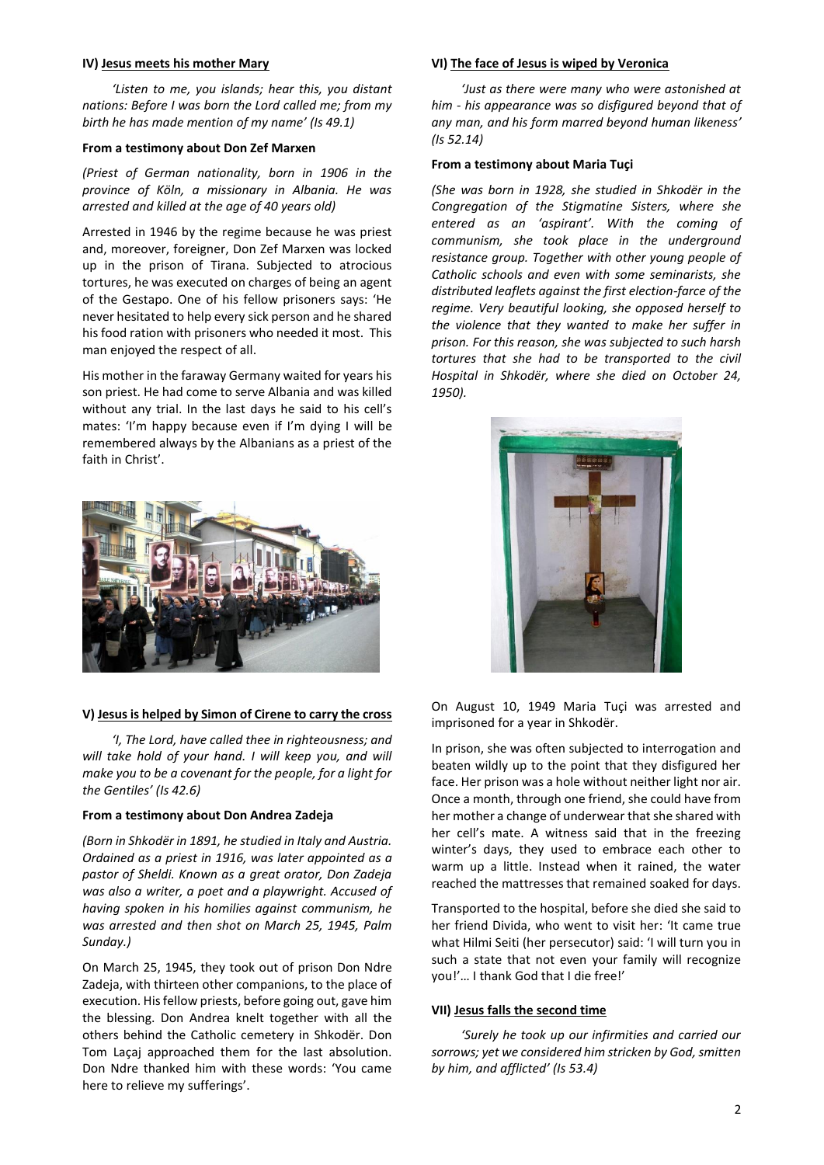## **IV) Jesus meets his mother Mary**

*'Listen to me, you islands; hear this, you distant nations: Before I was born the Lord called me; from my birth he has made mention of my name' (Is 49.1)*

## **From a testimony about Don Zef Marxen**

*(Priest of German nationality, born in 1906 in the province of Köln, a missionary in Albania. He was arrested and killed at the age of 40 years old)*

Arrested in 1946 by the regime because he was priest and, moreover, foreigner, Don Zef Marxen was locked up in the prison of Tirana. Subjected to atrocious tortures, he was executed on charges of being an agent of the Gestapo. One of his fellow prisoners says: 'He never hesitated to help every sick person and he shared his food ration with prisoners who needed it most. This man enjoyed the respect of all.

His mother in the faraway Germany waited for years his son priest. He had come to serve Albania and was killed without any trial. In the last days he said to his cell's mates: 'I'm happy because even if I'm dying I will be remembered always by the Albanians as a priest of the faith in Christ'.



## **V) Jesus is helped by Simon of Cirene to carry the cross**

*'I, The Lord, have called thee in righteousness; and will take hold of your hand. I will keep you, and will make you to be a covenant for the people, for a light for the Gentiles' (Is 42.6)*

#### **From a testimony about Don Andrea Zadeja**

*(Born in Shkodër in 1891, he studied in Italy and Austria. Ordained as a priest in 1916, was later appointed as a pastor of Sheldi. Known as a great orator, Don Zadeja was also a writer, a poet and a playwright. Accused of having spoken in his homilies against communism, he was arrested and then shot on March 25, 1945, Palm Sunday.)*

On March 25, 1945, they took out of prison Don Ndre Zadeja, with thirteen other companions, to the place of execution. His fellow priests, before going out, gave him the blessing. Don Andrea knelt together with all the others behind the Catholic cemetery in Shkodër. Don Tom Laçaj approached them for the last absolution. Don Ndre thanked him with these words: 'You came here to relieve my sufferings'.

## **VI) The face of Jesus is wiped by Veronica**

*'Just as there were many who were astonished at him - his appearance was so disfigured beyond that of any man, and his form marred beyond human likeness' (Is 52.14)*

#### **From a testimony about Maria Tuçi**

*(She was born in 1928, she studied in Shkodër in the Congregation of the Stigmatine Sisters, where she entered as an 'aspirant'. With the coming of communism, she took place in the underground resistance group. Together with other young people of Catholic schools and even with some seminarists, she distributed leaflets against the first election-farce of the regime. Very beautiful looking, she opposed herself to the violence that they wanted to make her suffer in prison. For this reason, she was subjected to such harsh tortures that she had to be transported to the civil Hospital in Shkodër, where she died on October 24, 1950).*



On August 10, 1949 Maria Tuçi was arrested and imprisoned for a year in Shkodër.

In prison, she was often subjected to interrogation and beaten wildly up to the point that they disfigured her face. Her prison was a hole without neither light nor air. Once a month, through one friend, she could have from her mother a change of underwear that she shared with her cell's mate. A witness said that in the freezing winter's days, they used to embrace each other to warm up a little. Instead when it rained, the water reached the mattresses that remained soaked for days.

Transported to the hospital, before she died she said to her friend Divida, who went to visit her: 'It came true what Hilmi Seiti (her persecutor) said: 'I will turn you in such a state that not even your family will recognize you!'… I thank God that I die free!'

#### **VII) Jesus falls the second time**

*'Surely he took up our infirmities and carried our sorrows; yet we considered him stricken by God, smitten by him, and afflicted' (Is 53.4)*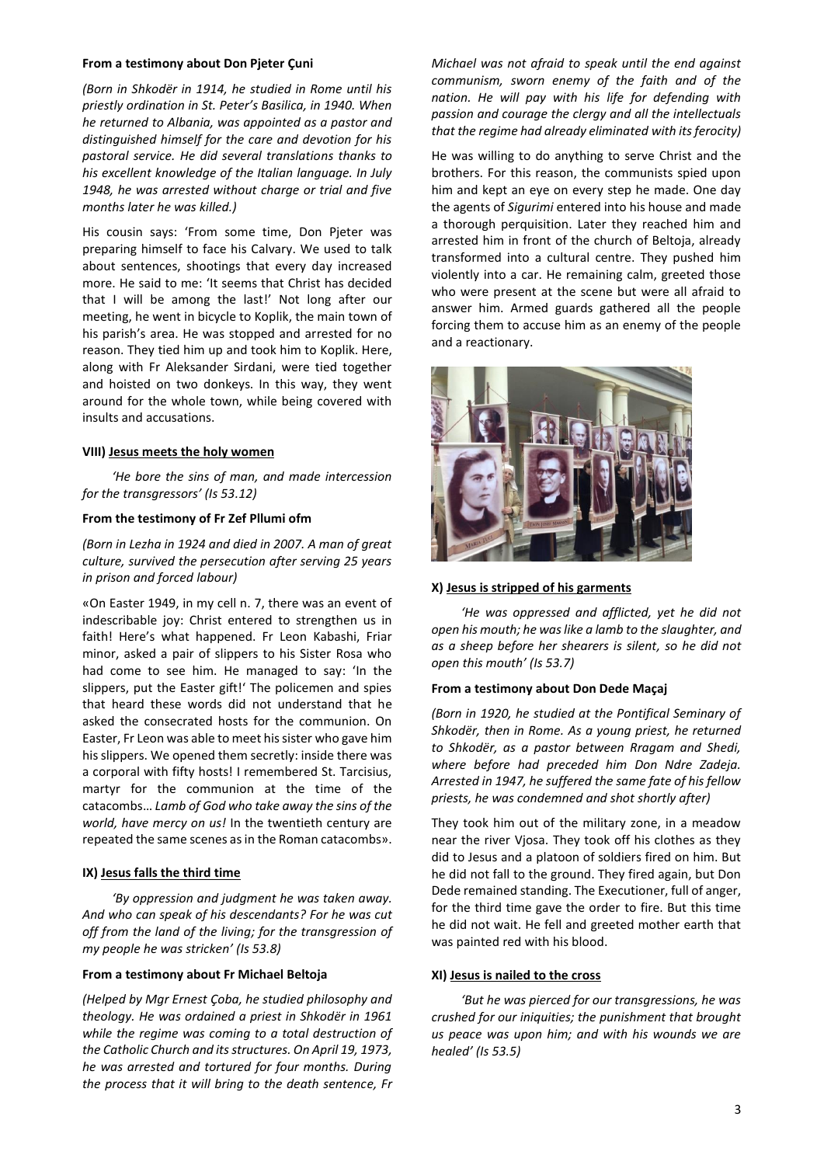## **From a testimony about Don Pjeter Çuni**

*(Born in Shkodër in 1914, he studied in Rome until his priestly ordination in St. Peter's Basilica, in 1940. When he returned to Albania, was appointed as a pastor and distinguished himself for the care and devotion for his pastoral service. He did several translations thanks to his excellent knowledge of the Italian language. In July 1948, he was arrested without charge or trial and five months later he was killed.)*

His cousin says: 'From some time, Don Pjeter was preparing himself to face his Calvary. We used to talk about sentences, shootings that every day increased more. He said to me: 'It seems that Christ has decided that I will be among the last!' Not long after our meeting, he went in bicycle to Koplik, the main town of his parish's area. He was stopped and arrested for no reason. They tied him up and took him to Koplik. Here, along with Fr Aleksander Sirdani, were tied together and hoisted on two donkeys. In this way, they went around for the whole town, while being covered with insults and accusations.

## **VIII) Jesus meets the holy women**

*'He bore the sins of man, and made intercession for the transgressors' (Is 53.12)*

## **From the testimony of Fr Zef Pllumi ofm**

*(Born in Lezha in 1924 and died in 2007. A man of great culture, survived the persecution after serving 25 years in prison and forced labour)*

«On Easter 1949, in my cell n. 7, there was an event of indescribable joy: Christ entered to strengthen us in faith! Here's what happened. Fr Leon Kabashi, Friar minor, asked a pair of slippers to his Sister Rosa who had come to see him. He managed to say: 'In the slippers, put the Easter gift!' The policemen and spies that heard these words did not understand that he asked the consecrated hosts for the communion. On Easter, Fr Leon was able to meet his sister who gave him his slippers. We opened them secretly: inside there was a corporal with fifty hosts! I remembered St. Tarcisius, martyr for the communion at the time of the catacombs… *Lamb of God who take away the sins of the world, have mercy on us!* In the twentieth century are repeated the same scenes as in the Roman catacombs».

# **IX) Jesus falls the third time**

*'By oppression and judgment he was taken away. And who can speak of his descendants? For he was cut off from the land of the living; for the transgression of my people he was stricken' (Is 53.8)*

## **From a testimony about Fr Michael Beltoja**

*(Helped by Mgr Ernest Çoba, he studied philosophy and theology. He was ordained a priest in Shkodër in 1961 while the regime was coming to a total destruction of the Catholic Church and its structures. On April 19, 1973, he was arrested and tortured for four months. During the process that it will bring to the death sentence, Fr*  *Michael was not afraid to speak until the end against communism, sworn enemy of the faith and of the nation. He will pay with his life for defending with passion and courage the clergy and all the intellectuals that the regime had already eliminated with its ferocity)* 

He was willing to do anything to serve Christ and the brothers. For this reason, the communists spied upon him and kept an eye on every step he made. One day the agents of *Sigurimi* entered into his house and made a thorough perquisition. Later they reached him and arrested him in front of the church of Beltoja, already transformed into a cultural centre. They pushed him violently into a car. He remaining calm, greeted those who were present at the scene but were all afraid to answer him. Armed guards gathered all the people forcing them to accuse him as an enemy of the people and a reactionary.



## **X) Jesus is stripped of his garments**

*'He was oppressed and afflicted, yet he did not open his mouth; he was like a lamb to the slaughter, and as a sheep before her shearers is silent, so he did not open this mouth' (Is 53.7)*

## **From a testimony about Don Dede Maçaj**

*(Born in 1920, he studied at the Pontifical Seminary of Shkodër, then in Rome. As a young priest, he returned to Shkodër, as a pastor between Rragam and Shedi, where before had preceded him Don Ndre Zadeja. Arrested in 1947, he suffered the same fate of his fellow priests, he was condemned and shot shortly after)* 

They took him out of the military zone, in a meadow near the river Vjosa. They took off his clothes as they did to Jesus and a platoon of soldiers fired on him. But he did not fall to the ground. They fired again, but Don Dede remained standing. The Executioner, full of anger, for the third time gave the order to fire. But this time he did not wait. He fell and greeted mother earth that was painted red with his blood.

## **XI) Jesus is nailed to the cross**

*'But he was pierced for our transgressions, he was crushed for our iniquities; the punishment that brought us peace was upon him; and with his wounds we are healed' (Is 53.5)*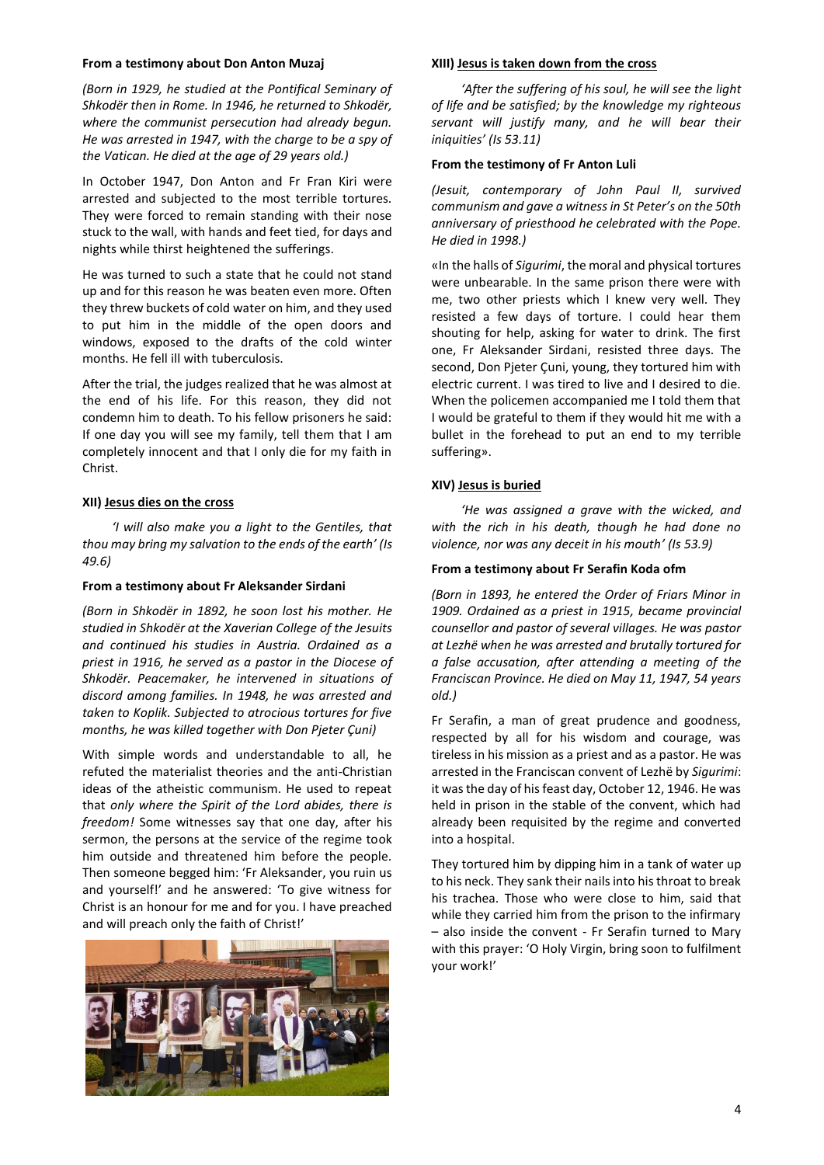## **From a testimony about Don Anton Muzaj**

*(Born in 1929, he studied at the Pontifical Seminary of Shkodër then in Rome. In 1946, he returned to Shkodër, where the communist persecution had already begun. He was arrested in 1947, with the charge to be a spy of the Vatican. He died at the age of 29 years old.)*

In October 1947, Don Anton and Fr Fran Kiri were arrested and subjected to the most terrible tortures. They were forced to remain standing with their nose stuck to the wall, with hands and feet tied, for days and nights while thirst heightened the sufferings.

He was turned to such a state that he could not stand up and for this reason he was beaten even more. Often they threw buckets of cold water on him, and they used to put him in the middle of the open doors and windows, exposed to the drafts of the cold winter months. He fell ill with tuberculosis.

After the trial, the judges realized that he was almost at the end of his life. For this reason, they did not condemn him to death. To his fellow prisoners he said: If one day you will see my family, tell them that I am completely innocent and that I only die for my faith in Christ.

## **XII) Jesus dies on the cross**

*'I will also make you a light to the Gentiles, that thou may bring my salvation to the ends of the earth' (Is 49.6)*

## **From a testimony about Fr Aleksander Sirdani**

*(Born in Shkodër in 1892, he soon lost his mother. He studied in Shkodër at the Xaverian College of the Jesuits and continued his studies in Austria. Ordained as a priest in 1916, he served as a pastor in the Diocese of Shkodër. Peacemaker, he intervened in situations of discord among families. In 1948, he was arrested and taken to Koplik. Subjected to atrocious tortures for five months, he was killed together with Don Pjeter Çuni)*

With simple words and understandable to all, he refuted the materialist theories and the anti-Christian ideas of the atheistic communism. He used to repeat that *only where the Spirit of the Lord abides, there is freedom!* Some witnesses say that one day, after his sermon, the persons at the service of the regime took him outside and threatened him before the people. Then someone begged him: 'Fr Aleksander, you ruin us and yourself!' and he answered: 'To give witness for Christ is an honour for me and for you. I have preached and will preach only the faith of Christ!'



#### **XIII) Jesus is taken down from the cross**

*'After the suffering of his soul, he will see the light of life and be satisfied; by the knowledge my righteous servant will justify many, and he will bear their iniquities' (Is 53.11)*

## **From the testimony of Fr Anton Luli**

*(Jesuit, contemporary of John Paul II, survived communism and gave a witness in St Peter's on the 50th anniversary of priesthood he celebrated with the Pope. He died in 1998.)*

«In the halls of *Sigurimi*, the moral and physical tortures were unbearable. In the same prison there were with me, two other priests which I knew very well. They resisted a few days of torture. I could hear them shouting for help, asking for water to drink. The first one, Fr Aleksander Sirdani, resisted three days. The second, Don Pjeter Çuni, young, they tortured him with electric current. I was tired to live and I desired to die. When the policemen accompanied me I told them that I would be grateful to them if they would hit me with a bullet in the forehead to put an end to my terrible suffering».

# **XIV) Jesus is buried**

*'He was assigned a grave with the wicked, and with the rich in his death, though he had done no violence, nor was any deceit in his mouth' (Is 53.9)*

## **From a testimony about Fr Serafin Koda ofm**

*(Born in 1893, he entered the Order of Friars Minor in 1909. Ordained as a priest in 1915, became provincial counsellor and pastor of several villages. He was pastor at Lezhë when he was arrested and brutally tortured for a false accusation, after attending a meeting of the Franciscan Province. He died on May 11, 1947, 54 years old.)*

Fr Serafin, a man of great prudence and goodness, respected by all for his wisdom and courage, was tireless in his mission as a priest and as a pastor. He was arrested in the Franciscan convent of Lezhë by *Sigurimi*: it was the day of his feast day, October 12, 1946. He was held in prison in the stable of the convent, which had already been requisited by the regime and converted into a hospital.

They tortured him by dipping him in a tank of water up to his neck. They sank their nails into his throat to break his trachea. Those who were close to him, said that while they carried him from the prison to the infirmary – also inside the convent - Fr Serafin turned to Mary with this prayer: 'O Holy Virgin, bring soon to fulfilment your work!'